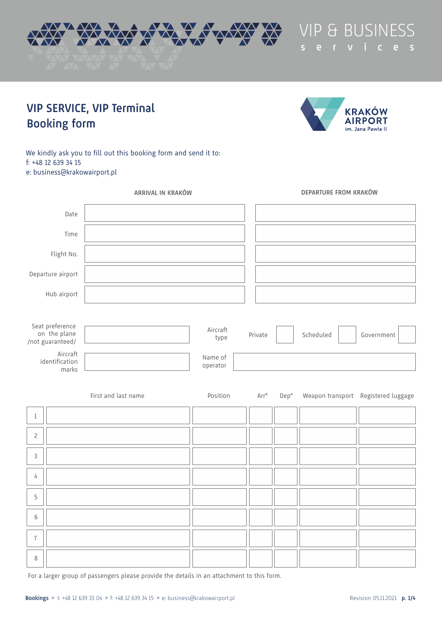



**s e r v i c e s**

# **VIP SERVICE, VIP Terminal Booking form**

We kindly ask you to fill out this booking form and send it to: f: +48 12 639 34 15 e: business@krakowairport.pl

| ARRIVAL IN KRAKÓW                                   |                     |                     |         |                      |        | DEPARTURE FROM KRAKÓW |                                     |
|-----------------------------------------------------|---------------------|---------------------|---------|----------------------|--------|-----------------------|-------------------------------------|
| Date                                                |                     |                     |         |                      |        |                       |                                     |
| Time                                                |                     |                     |         |                      |        |                       |                                     |
| Flight No.                                          |                     |                     |         |                      |        |                       |                                     |
| Departure airport                                   |                     |                     |         |                      |        |                       |                                     |
| Hub airport                                         |                     |                     |         |                      |        |                       |                                     |
| Seat preference<br>on the plane<br>/not guaranteed/ |                     | Aircraft<br>type    | Private |                      |        | Scheduled             | Government                          |
| Aircraft<br>identification<br>marks                 |                     | Name of<br>operator |         |                      |        |                       |                                     |
|                                                     | First and last name | Position            |         | $\mathsf{Arr}^\star$ | $Dep*$ |                       | Weapon transport Registered luggage |
| $\,1\,$                                             |                     |                     |         |                      |        |                       |                                     |
| $\overline{c}$                                      |                     |                     |         |                      |        |                       |                                     |
| $\mathsf 3$                                         |                     |                     |         |                      |        |                       |                                     |
| 4                                                   |                     |                     |         |                      |        |                       |                                     |
| $\mathsf S$                                         |                     |                     |         |                      |        |                       |                                     |
| $\,$ 6 $\,$                                         |                     |                     |         |                      |        |                       |                                     |
| $\boldsymbol{7}$                                    |                     |                     |         |                      |        |                       |                                     |
| $\,8\,$                                             |                     |                     |         |                      |        |                       |                                     |

For a larger group of passengers please provide the details in an attachment to this form.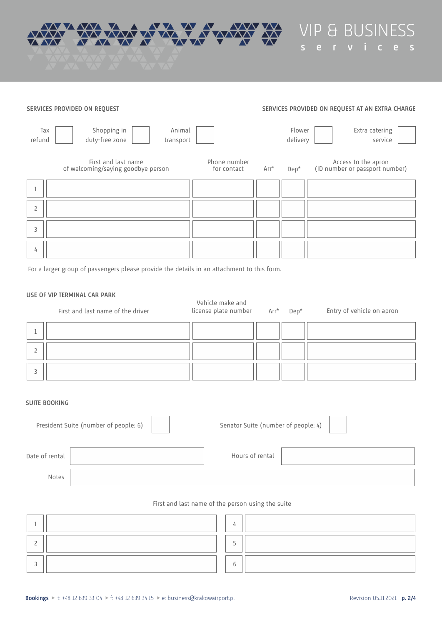

VIP & BUSINESS **s e r v i c e s**

#### Arr\* Dep\* 1 2 3 4 **SERVICES PROVIDED ON REQUEST SERVICES PROVIDED ON REQUEST AT AN EXTRA CHARGE** Tax refund Shopping in duty-free zone Flower delivery Animal transport Extra catering service First and last name of welcoming/saying goodbye person Phone number for contact Access to the apron (ID number or passport number)

For a larger group of passengers please provide the details in an attachment to this form.

## **USE OF VIP TERMINAL CAR PARK**

|                      | <b>USE OF VILLERS LETTERED CARL LARAS</b><br>First and last name of the driver | Vehicle make and<br>license plate number Arr* | Dep* | Entry of vehicle on apron |
|----------------------|--------------------------------------------------------------------------------|-----------------------------------------------|------|---------------------------|
|                      |                                                                                |                                               |      |                           |
| $\overline{c}$       |                                                                                |                                               |      |                           |
| 3                    |                                                                                |                                               |      |                           |
| <b>SUITE BOOKING</b> |                                                                                |                                               |      |                           |

|                | President Suite (number of people: 6) | Senator Suite (number of people: 4) |  |
|----------------|---------------------------------------|-------------------------------------|--|
| Date of rental |                                       | Hours of rental                     |  |
| Notes          |                                       |                                     |  |

## First and last name of the person using the suite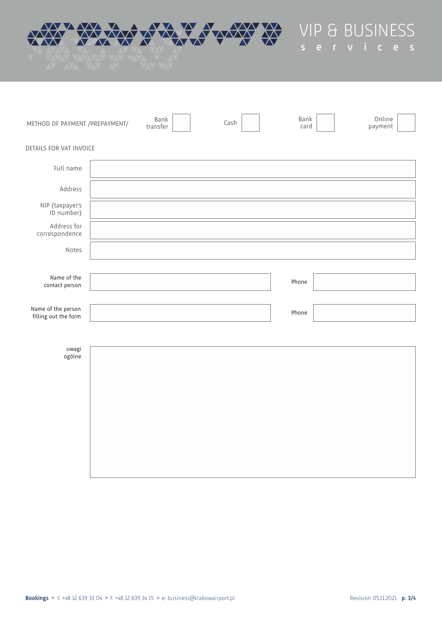

VIP & BUSINESS **s e r v i c e s**

| METHOD OF PAYMENT /PREPAYMENT/             | Bank<br>transfer | Cash | Bank<br>card | Online<br>payment |
|--------------------------------------------|------------------|------|--------------|-------------------|
| DETAILS FOR VAT INVOICE                    |                  |      |              |                   |
| Full name                                  |                  |      |              |                   |
| Address                                    |                  |      |              |                   |
| NIP (taxpayer's<br>ID number)              |                  |      |              |                   |
| Address for<br>correspondence              |                  |      |              |                   |
| Notes                                      |                  |      |              |                   |
|                                            |                  |      |              |                   |
| Name of the<br>contact person              |                  |      | Phone        |                   |
| Name of the person<br>filling out the form |                  |      | Phone        |                   |
|                                            |                  |      |              |                   |
| uwagi<br>ogólne                            |                  |      |              |                   |
|                                            |                  |      |              |                   |
|                                            |                  |      |              |                   |
|                                            |                  |      |              |                   |
|                                            |                  |      |              |                   |
|                                            |                  |      |              |                   |
|                                            |                  |      |              |                   |